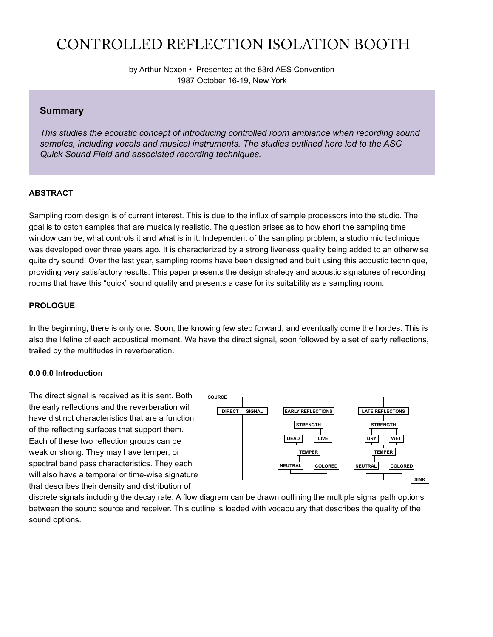# CONTROLLED REFLECTION ISOLATION BOOTH

by Arthur Noxon • Presented at the 83rd AES Convention 1987 October 16-19, New York

# **Summary**

*This studies the acoustic concept of introducing controlled room ambiance when recording sound samples, including vocals and musical instruments. The studies outlined here led to the ASC Quick Sound Field and associated recording techniques.*

### **ABSTRACT**

Sampling room design is of current interest. This is due to the influx of sample processors into the studio. The goal is to catch samples that are musically realistic. The question arises as to how short the sampling time window can be, what controls it and what is in it. Independent of the sampling problem, a studio mic technique was developed over three years ago. It is characterized by a strong liveness quality being added to an otherwise quite dry sound. Over the last year, sampling rooms have been designed and built using this acoustic technique, providing very satisfactory results. This paper presents the design strategy and acoustic signatures of recording rooms that have this "quick" sound quality and presents a case for its suitability as a sampling room.

### **PROLOGUE**

In the beginning, there is only one. Soon, the knowing few step forward, and eventually come the hordes. This is also the lifeline of each acoustical moment. We have the direct signal, soon followed by a set of early reflections, trailed by the multitudes in reverberation.

### **0.0 0.0 Introduction**

The direct signal is received as it is sent. Both the early reflections and the reverberation will have distinct characteristics that are a function of the reflecting surfaces that support them. Each of these two reflection groups can be weak or strong. They may have temper, or spectral band pass characteristics. They each will also have a temporal or time-wise signature that describes their density and distribution of



discrete signals including the decay rate. A flow diagram can be drawn outlining the multiple signal path options between the sound source and receiver. This outline is loaded with vocabulary that describes the quality of the sound options.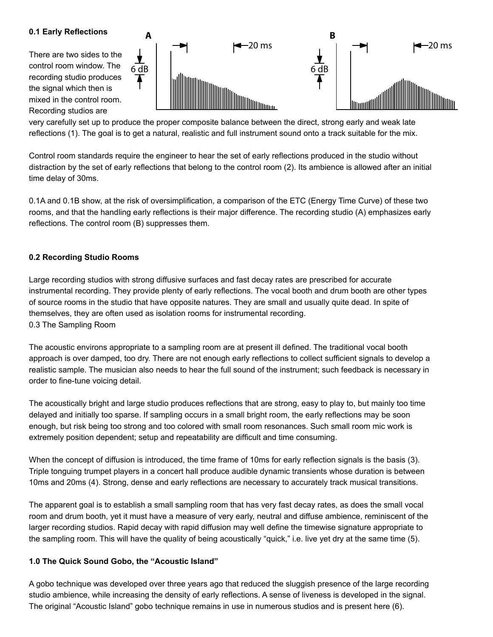## **0.1 Early Reflections**

There are two sides to the control room window. The recording studio produces the signal which then is mixed in the control room. Recording studios are



very carefully set up to produce the proper composite balance between the direct, strong early and weak late reflections (1). The goal is to get a natural, realistic and full instrument sound onto a track suitable for the mix.

Control room standards require the engineer to hear the set of early reflections produced in the studio without distraction by the set of early reflections that belong to the control room (2). Its ambience is allowed after an initial time delay of 30ms.

0.1A and 0.1B show, at the risk of oversimplification, a comparison of the ETC (Energy Time Curve) of these two rooms, and that the handling early reflections is their major difference. The recording studio (A) emphasizes early reflections. The control room (B) suppresses them.

# **0.2 Recording Studio Rooms**

Large recording studios with strong diffusive surfaces and fast decay rates are prescribed for accurate instrumental recording. They provide plenty of early reflections. The vocal booth and drum booth are other types of source rooms in the studio that have opposite natures. They are small and usually quite dead. In spite of themselves, they are often used as isolation rooms for instrumental recording. 0.3 The Sampling Room

The acoustic environs appropriate to a sampling room are at present ill defined. The traditional vocal booth approach is over damped, too dry. There are not enough early reflections to collect sufficient signals to develop a realistic sample. The musician also needs to hear the full sound of the instrument; such feedback is necessary in order to fine-tune voicing detail.

The acoustically bright and large studio produces reflections that are strong, easy to play to, but mainly too time delayed and initially too sparse. If sampling occurs in a small bright room, the early reflections may be soon enough, but risk being too strong and too colored with small room resonances. Such small room mic work is extremely position dependent; setup and repeatability are difficult and time consuming.

When the concept of diffusion is introduced, the time frame of 10ms for early reflection signals is the basis (3). Triple tonguing trumpet players in a concert hall produce audible dynamic transients whose duration is between 10ms and 20ms (4). Strong, dense and early reflections are necessary to accurately track musical transitions.

The apparent goal is to establish a small sampling room that has very fast decay rates, as does the small vocal room and drum booth, yet it must have a measure of very early, neutral and diffuse ambience, reminiscent of the larger recording studios. Rapid decay with rapid diffusion may well define the timewise signature appropriate to the sampling room. This will have the quality of being acoustically "quick," i.e. live yet dry at the same time (5).

### **1.0 The Quick Sound Gobo, the "Acoustic Island"**

A gobo technique was developed over three years ago that reduced the sluggish presence of the large recording studio ambience, while increasing the density of early reflections. A sense of liveness is developed in the signal. The original "Acoustic Island" gobo technique remains in use in numerous studios and is present here (6).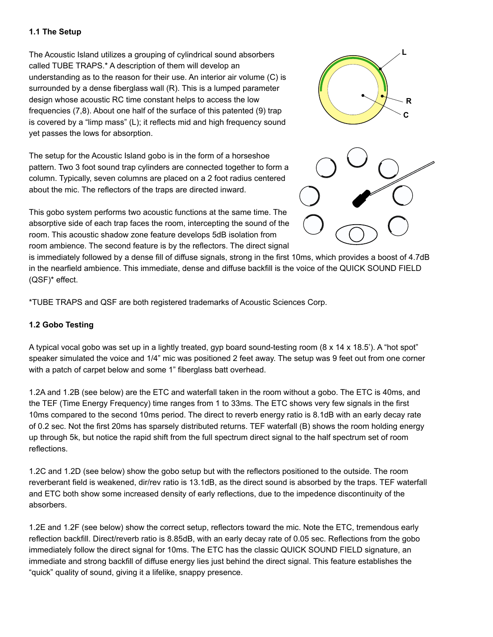## **1.1 The Setup**

The Acoustic Island utilizes a grouping of cylindrical sound absorbers called TUBE TRAPS.\* A description of them will develop an understanding as to the reason for their use. An interior air volume (C) is surrounded by a dense fiberglass wall (R). This is a lumped parameter design whose acoustic RC time constant helps to access the low frequencies (7,8). About one half of the surface of this patented (9) trap is covered by a "limp mass" (L); it reflects mid and high frequency sound yet passes the lows for absorption.

The setup for the Acoustic Island gobo is in the form of a horseshoe pattern. Two 3 foot sound trap cylinders are connected together to form a column. Typically, seven columns are placed on a 2 foot radius centered about the mic. The reflectors of the traps are directed inward.





This gobo system performs two acoustic functions at the same time. The absorptive side of each trap faces the room, intercepting the sound of the room. This acoustic shadow zone feature develops 5dB isolation from room ambience. The second feature is by the reflectors. The direct signal

is immediately followed by a dense fill of diffuse signals, strong in the first 10ms, which provides a boost of 4.7dB in the nearfield ambience. This immediate, dense and diffuse backfill is the voice of the QUICK SOUND FIELD (QSF)\* effect.

\*TUBE TRAPS and QSF are both registered trademarks of Acoustic Sciences Corp.

# **1.2 Gobo Testing**

A typical vocal gobo was set up in a lightly treated, gyp board sound-testing room (8 x 14 x 18.5'). A "hot spot" speaker simulated the voice and 1/4" mic was positioned 2 feet away. The setup was 9 feet out from one corner with a patch of carpet below and some 1" fiberglass batt overhead.

1.2A and 1.2B (see below) are the ETC and waterfall taken in the room without a gobo. The ETC is 40ms, and the TEF (Time Energy Frequency) time ranges from 1 to 33ms. The ETC shows very few signals in the first 10ms compared to the second 10ms period. The direct to reverb energy ratio is 8.1dB with an early decay rate of 0.2 sec. Not the first 20ms has sparsely distributed returns. TEF waterfall (B) shows the room holding energy up through 5k, but notice the rapid shift from the full spectrum direct signal to the half spectrum set of room reflections.

1.2C and 1.2D (see below) show the gobo setup but with the reflectors positioned to the outside. The room reverberant field is weakened, dir/rev ratio is 13.1dB, as the direct sound is absorbed by the traps. TEF waterfall and ETC both show some increased density of early reflections, due to the impedence discontinuity of the absorbers.

1.2E and 1.2F (see below) show the correct setup, reflectors toward the mic. Note the ETC, tremendous early reflection backfill. Direct/reverb ratio is 8.85dB, with an early decay rate of 0.05 sec. Reflections from the gobo immediately follow the direct signal for 10ms. The ETC has the classic QUICK SOUND FIELD signature, an immediate and strong backfill of diffuse energy lies just behind the direct signal. This feature establishes the "quick" quality of sound, giving it a lifelike, snappy presence.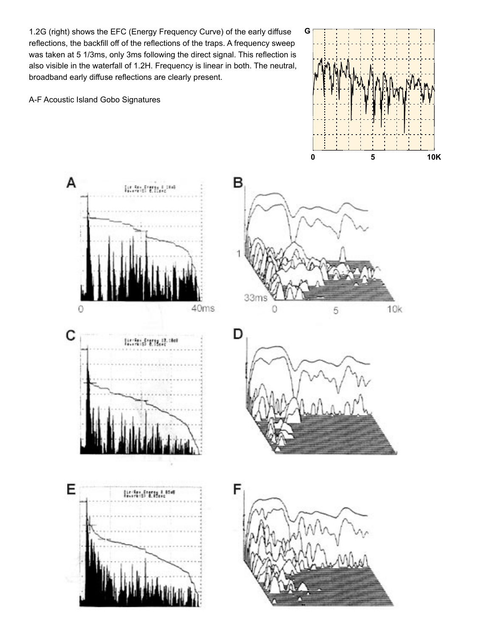1.2G (right) shows the EFC (Energy Frequency Curve) of the early diffuse reflections, the backfill off of the reflections of the traps. A frequency sweep was taken at 5 1/3ms, only 3ms following the direct signal. This reflection is also visible in the waterfall of 1.2H. Frequency is linear in both. The neutral, broadband early diffuse reflections are clearly present.

A-F Acoustic Island Gobo Signatures



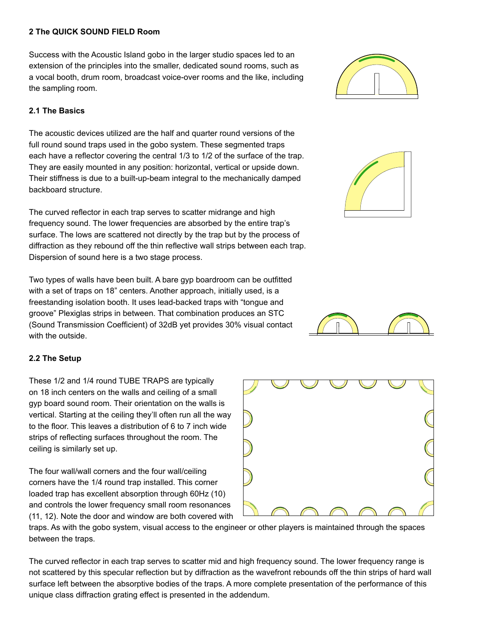## **2 The QUICK SOUND FIELD Room**

Success with the Acoustic Island gobo in the larger studio spaces led to an extension of the principles into the smaller, dedicated sound rooms, such as a vocal booth, drum room, broadcast voice-over rooms and the like, including the sampling room.

# **2.1 The Basics**

The acoustic devices utilized are the half and quarter round versions of the full round sound traps used in the gobo system. These segmented traps each have a reflector covering the central 1/3 to 1/2 of the surface of the trap. They are easily mounted in any position: horizontal, vertical or upside down. Their stiffness is due to a built-up-beam integral to the mechanically damped backboard structure.

The curved reflector in each trap serves to scatter midrange and high frequency sound. The lower frequencies are absorbed by the entire trap's surface. The lows are scattered not directly by the trap but by the process of diffraction as they rebound off the thin reflective wall strips between each trap. Dispersion of sound here is a two stage process.

Two types of walls have been built. A bare gyp boardroom can be outfitted with a set of traps on 18" centers. Another approach, initially used, is a freestanding isolation booth. It uses lead-backed traps with "tongue and groove" Plexiglas strips in between. That combination produces an STC (Sound Transmission Coefficient) of 32dB yet provides 30% visual contact with the outside.

# **2.2 The Setup**

These 1/2 and 1/4 round TUBE TRAPS are typically on 18 inch centers on the walls and ceiling of a small gyp board sound room. Their orientation on the walls is vertical. Starting at the ceiling they'll often run all the way to the floor. This leaves a distribution of 6 to 7 inch wide strips of reflecting surfaces throughout the room. The ceiling is similarly set up.

The four wall/wall corners and the four wall/ceiling corners have the 1/4 round trap installed. This corner loaded trap has excellent absorption through 60Hz (10) and controls the lower frequency small room resonances (11, 12). Note the door and window are both covered with

traps. As with the gobo system, visual access to the engineer or other players is maintained through the spaces between the traps.

The curved reflector in each trap serves to scatter mid and high frequency sound. The lower frequency range is not scattered by this specular reflection but by diffraction as the wavefront rebounds off the thin strips of hard wall surface left between the absorptive bodies of the traps. A more complete presentation of the performance of this unique class diffraction grating effect is presented in the addendum.







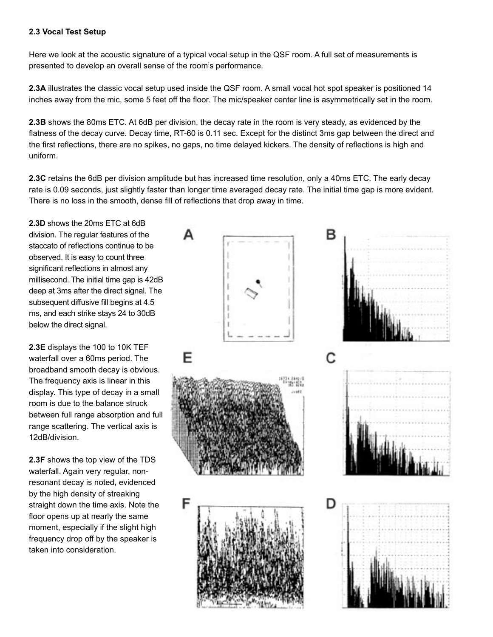# **2.3 Vocal Test Setup**

Here we look at the acoustic signature of a typical vocal setup in the QSF room. A full set of measurements is presented to develop an overall sense of the room's performance.

**2.3A** illustrates the classic vocal setup used inside the QSF room. A small vocal hot spot speaker is positioned 14 inches away from the mic, some 5 feet off the floor. The mic/speaker center line is asymmetrically set in the room.

**2.3B** shows the 80ms ETC. At 6dB per division, the decay rate in the room is very steady, as evidenced by the flatness of the decay curve. Decay time, RT-60 is 0.11 sec. Except for the distinct 3ms gap between the direct and the first reflections, there are no spikes, no gaps, no time delayed kickers. The density of reflections is high and uniform.

**2.3C** retains the 6dB per division amplitude but has increased time resolution, only a 40ms ETC. The early decay rate is 0.09 seconds, just slightly faster than longer time averaged decay rate. The initial time gap is more evident. There is no loss in the smooth, dense fill of reflections that drop away in time.

**2.3D** shows the 20ms ETC at 6dB division. The regular features of the staccato of reflections continue to be observed. It is easy to count three significant reflections in almost any millisecond. The initial time gap is 42dB deep at 3ms after the direct signal. The subsequent diffusive fill begins at 4.5 ms, and each strike stays 24 to 30dB below the direct signal.

**2.3E** displays the 100 to 10K TEF waterfall over a 60ms period. The broadband smooth decay is obvious. The frequency axis is linear in this display. This type of decay in a small room is due to the balance struck between full range absorption and full range scattering. The vertical axis is 12dB/division.

**2.3F** shows the top view of the TDS waterfall. Again very regular, nonresonant decay is noted, evidenced by the high density of streaking straight down the time axis. Note the floor opens up at nearly the same moment, especially if the slight high frequency drop off by the speaker is taken into consideration.

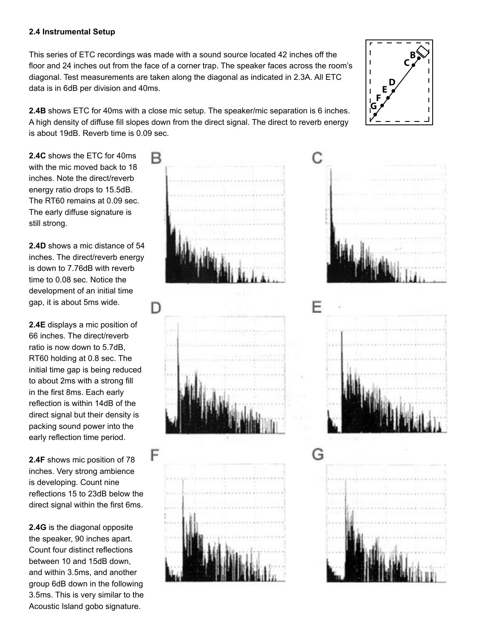## **2.4 Instrumental Setup**

This series of ETC recordings was made with a sound source located 42 inches off the floor and 24 inches out from the face of a corner trap. The speaker faces across the room's diagonal. Test measurements are taken along the diagonal as indicated in 2.3A. All ETC data is in 6dB per division and 40ms.

**2.4B** shows ETC for 40ms with a close mic setup. The speaker/mic separation is 6 inches. A high density of diffuse fill slopes down from the direct signal. The direct to reverb energy is about 19dB. Reverb time is 0.09 sec.

**2.4C** shows the ETC for 40ms with the mic moved back to 18 inches. Note the direct/reverb energy ratio drops to 15.5dB. The RT60 remains at 0.09 sec. The early diffuse signature is still strong.

**2.4D** shows a mic distance of 54 inches. The direct/reverb energy is down to 7.76dB with reverb time to 0.08 sec. Notice the development of an initial time gap, it is about 5ms wide.

**2.4E** displays a mic position of 66 inches. The direct/reverb ratio is now down to 5.7dB, RT60 holding at 0.8 sec. The initial time gap is being reduced to about 2ms with a strong fill in the first 8ms. Each early reflection is within 14dB of the direct signal but their density is packing sound power into the early reflection time period.

**2.4F** shows mic position of 78 inches. Very strong ambience is developing. Count nine reflections 15 to 23dB below the direct signal within the first 6ms.

**2.4G** is the diagonal opposite the speaker, 90 inches apart. Count four distinct reflections between 10 and 15dB down, and within 3.5ms, and another group 6dB down in the following 3.5ms. This is very similar to the Acoustic Island gobo signature.





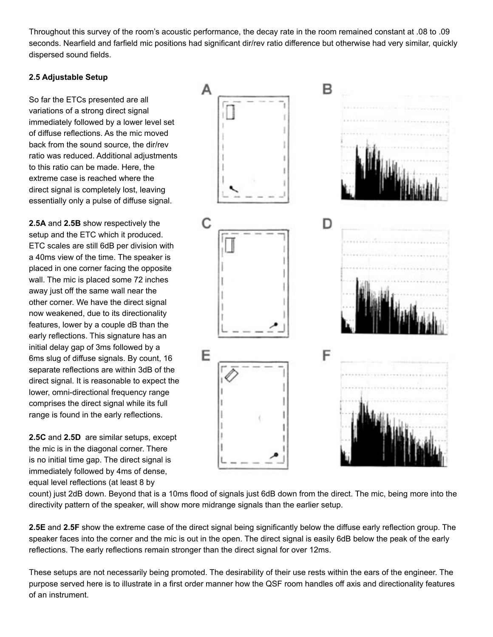Throughout this survey of the room's acoustic performance, the decay rate in the room remained constant at .08 to .09 seconds. Nearfield and farfield mic positions had significant dir/rev ratio difference but otherwise had very similar, quickly dispersed sound fields.

# **2.5 Adjustable Setup**

So far the ETCs presented are all variations of a strong direct signal immediately followed by a lower level set of diffuse reflections. As the mic moved back from the sound source, the dir/rev ratio was reduced. Additional adjustments to this ratio can be made. Here, the extreme case is reached where the direct signal is completely lost, leaving essentially only a pulse of diffuse signal.

**2.5A** and **2.5B** show respectively the setup and the ETC which it produced. ETC scales are still 6dB per division with a 40ms view of the time. The speaker is placed in one corner facing the opposite wall. The mic is placed some 72 inches away just off the same wall near the other corner. We have the direct signal now weakened, due to its directionality features, lower by a couple dB than the early reflections. This signature has an initial delay gap of 3ms followed by a 6ms slug of diffuse signals. By count, 16 separate reflections are within 3dB of the direct signal. It is reasonable to expect the lower, omni-directional frequency range comprises the direct signal while its full range is found in the early reflections.

**2.5C** and **2.5D** are similar setups, except the mic is in the diagonal corner. There is no initial time gap. The direct signal is immediately followed by 4ms of dense, equal level reflections (at least 8 by

в Δ D F F

count) just 2dB down. Beyond that is a 10ms flood of signals just 6dB down from the direct. The mic, being more into the directivity pattern of the speaker, will show more midrange signals than the earlier setup.

**2.5E** and **2.5F** show the extreme case of the direct signal being significantly below the diffuse early reflection group. The speaker faces into the corner and the mic is out in the open. The direct signal is easily 6dB below the peak of the early reflections. The early reflections remain stronger than the direct signal for over 12ms.

These setups are not necessarily being promoted. The desirability of their use rests within the ears of the engineer. The purpose served here is to illustrate in a first order manner how the QSF room handles off axis and directionality features of an instrument.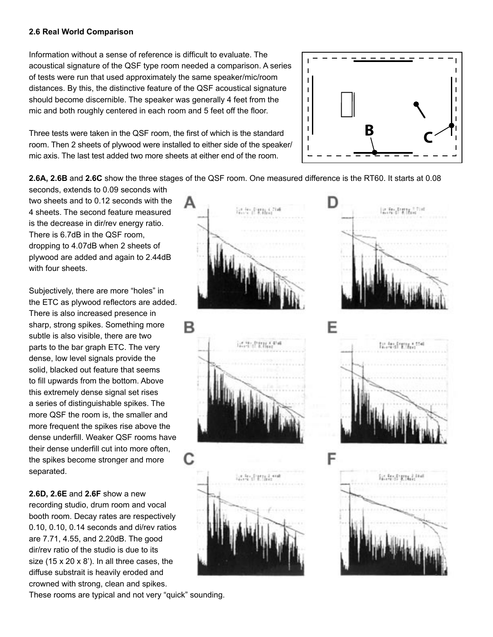## **2.6 Real World Comparison**

Information without a sense of reference is difficult to evaluate. The acoustical signature of the QSF type room needed a comparison. A series of tests were run that used approximately the same speaker/mic/room distances. By this, the distinctive feature of the QSF acoustical signature should become discernible. The speaker was generally 4 feet from the mic and both roughly centered in each room and 5 feet off the floor.

Three tests were taken in the QSF room, the first of which is the standard room. Then 2 sheets of plywood were installed to either side of the speaker/ mic axis. The last test added two more sheets at either end of the room.



**2.6A, 2.6B** and **2.6C** show the three stages of the QSF room. One measured difference is the RT60. It starts at 0.08

seconds, extends to 0.09 seconds with two sheets and to 0.12 seconds with the 4 sheets. The second feature measured is the decrease in dir/rev energy ratio. There is 6.7dB in the QSF room, dropping to 4.07dB when 2 sheets of plywood are added and again to 2.44dB with four sheets.

Subjectively, there are more "holes" in the ETC as plywood reflectors are added. There is also increased presence in sharp, strong spikes. Something more subtle is also visible, there are two parts to the bar graph ETC. The very dense, low level signals provide the solid, blacked out feature that seems to fill upwards from the bottom. Above this extremely dense signal set rises a series of distinguishable spikes. The more QSF the room is, the smaller and more frequent the spikes rise above the dense underfill. Weaker QSF rooms have their dense underfill cut into more often, the spikes become stronger and more separated.

**2.6D, 2.6E** and **2.6F** show a new recording studio, drum room and vocal booth room. Decay rates are respectively 0.10, 0.10, 0.14 seconds and di/rev ratios are 7.71, 4.55, and 2.20dB. The good dir/rev ratio of the studio is due to its size (15 x 20 x 8'). In all three cases, the diffuse substrait is heavily eroded and crowned with strong, clean and spikes.

These rooms are typical and not very "quick" sounding.







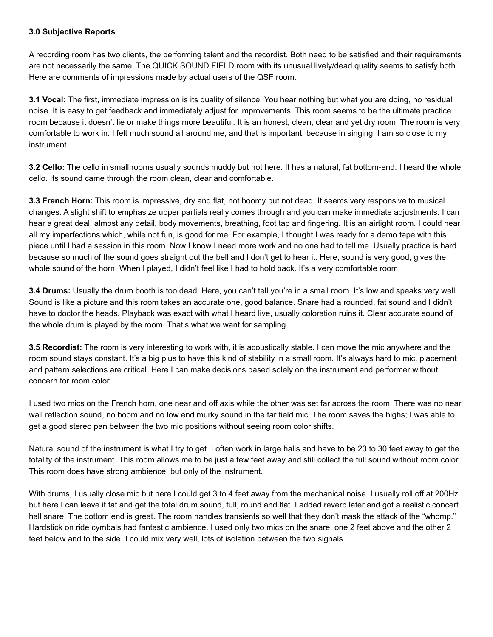# **3.0 Subjective Reports**

A recording room has two clients, the performing talent and the recordist. Both need to be satisfied and their requirements are not necessarily the same. The QUICK SOUND FIELD room with its unusual lively/dead quality seems to satisfy both. Here are comments of impressions made by actual users of the QSF room.

**3.1 Vocal:** The first, immediate impression is its quality of silence. You hear nothing but what you are doing, no residual noise. It is easy to get feedback and immediately adjust for improvements. This room seems to be the ultimate practice room because it doesn't lie or make things more beautiful. It is an honest, clean, clear and yet dry room. The room is very comfortable to work in. I felt much sound all around me, and that is important, because in singing, I am so close to my instrument.

**3.2 Cello:** The cello in small rooms usually sounds muddy but not here. It has a natural, fat bottom-end. I heard the whole cello. Its sound came through the room clean, clear and comfortable.

**3.3 French Horn:** This room is impressive, dry and flat, not boomy but not dead. It seems very responsive to musical changes. A slight shift to emphasize upper partials really comes through and you can make immediate adjustments. I can hear a great deal, almost any detail, body movements, breathing, foot tap and fingering. It is an airtight room. I could hear all my imperfections which, while not fun, is good for me. For example, I thought I was ready for a demo tape with this piece until I had a session in this room. Now I know I need more work and no one had to tell me. Usually practice is hard because so much of the sound goes straight out the bell and I don't get to hear it. Here, sound is very good, gives the whole sound of the horn. When I played, I didn't feel like I had to hold back. It's a very comfortable room.

**3.4 Drums:** Usually the drum booth is too dead. Here, you can't tell you're in a small room. It's low and speaks very well. Sound is like a picture and this room takes an accurate one, good balance. Snare had a rounded, fat sound and I didn't have to doctor the heads. Playback was exact with what I heard live, usually coloration ruins it. Clear accurate sound of the whole drum is played by the room. That's what we want for sampling.

**3.5 Recordist:** The room is very interesting to work with, it is acoustically stable. I can move the mic anywhere and the room sound stays constant. It's a big plus to have this kind of stability in a small room. It's always hard to mic, placement and pattern selections are critical. Here I can make decisions based solely on the instrument and performer without concern for room color.

I used two mics on the French horn, one near and off axis while the other was set far across the room. There was no near wall reflection sound, no boom and no low end murky sound in the far field mic. The room saves the highs; I was able to get a good stereo pan between the two mic positions without seeing room color shifts.

Natural sound of the instrument is what I try to get. I often work in large halls and have to be 20 to 30 feet away to get the totality of the instrument. This room allows me to be just a few feet away and still collect the full sound without room color. This room does have strong ambience, but only of the instrument.

With drums, I usually close mic but here I could get 3 to 4 feet away from the mechanical noise. I usually roll off at 200Hz but here I can leave it fat and get the total drum sound, full, round and flat. I added reverb later and got a realistic concert hall snare. The bottom end is great. The room handles transients so well that they don't mask the attack of the "whomp." Hardstick on ride cymbals had fantastic ambience. I used only two mics on the snare, one 2 feet above and the other 2 feet below and to the side. I could mix very well, lots of isolation between the two signals.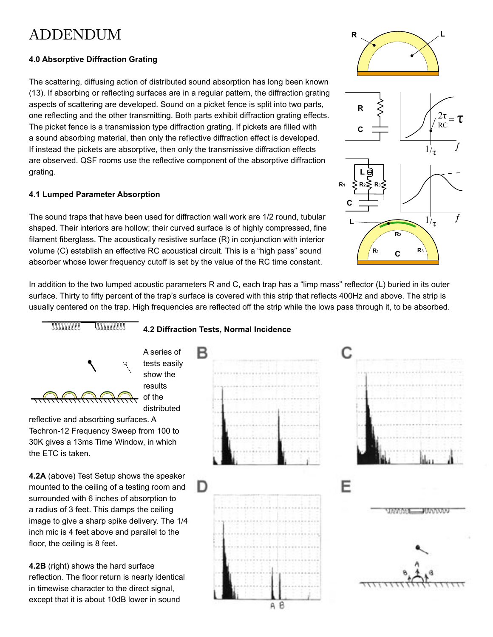# ADDENDUM

# **4.0 Absorptive Diffraction Grating**

The scattering, diffusing action of distributed sound absorption has long been known (13). If absorbing or reflecting surfaces are in a regular pattern, the diffraction grating aspects of scattering are developed. Sound on a picket fence is split into two parts, one reflecting and the other transmitting. Both parts exhibit diffraction grating effects. The picket fence is a transmission type diffraction grating. If pickets are filled with a sound absorbing material, then only the reflective diffraction effect is developed. If instead the pickets are absorptive, then only the transmissive diffraction effects are observed. QSF rooms use the reflective component of the absorptive diffraction grating.

# **4.1 Lumped Parameter Absorption**

The sound traps that have been used for diffraction wall work are 1/2 round, tubular shaped. Their interiors are hollow; their curved surface is of highly compressed, fine filament fiberglass. The acoustically resistive surface (R) in conjunction with interior volume (C) establish an effective RC acoustical circuit. This is a "high pass" sound absorber whose lower frequency cutoff is set by the value of the RC time constant.

In addition to the two lumped acoustic parameters R and C, each trap has a "limp mass" reflector (L) buried in its outer surface. Thirty to fifty percent of the trap's surface is covered with this strip that reflects 400Hz and above. The strip is usually centered on the trap. High frequencies are reflected off the strip while the lows pass through it, to be absorbed.



tests easily show the results of the distributed

reflective and absorbing surfaces. A Techron-12 Frequency Sweep from 100 to 30K gives a 13ms Time Window, in which the ETC is taken.

**4.2A** (above) Test Setup shows the speaker mounted to the ceiling of a testing room and surrounded with 6 inches of absorption to a radius of 3 feet. This damps the ceiling image to give a sharp spike delivery. The 1/4 inch mic is 4 feet above and parallel to the floor, the ceiling is 8 feet.

**4.2B** (right) shows the hard surface reflection. The floor return is nearly identical in timewise character to the direct signal, except that it is about 10dB lower in sound

# **4.2 Diffraction Tests, Normal Incidence**





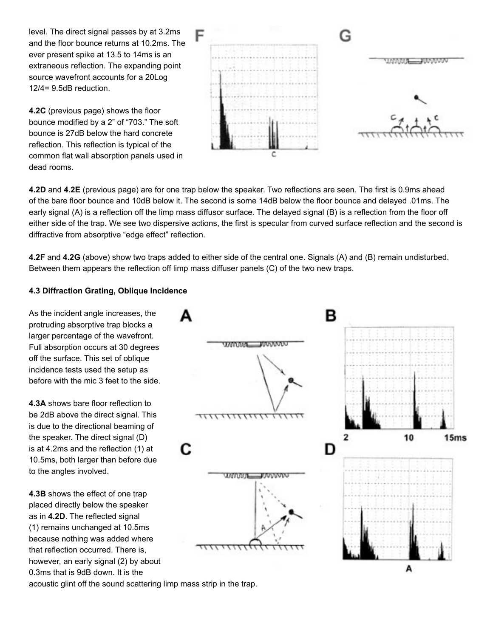level. The direct signal passes by at 3.2ms and the floor bounce returns at 10.2ms. The ever present spike at 13.5 to 14ms is an extraneous reflection. The expanding point source wavefront accounts for a 20Log 12/4= 9.5dB reduction.

**4.2C** (previous page) shows the floor bounce modified by a 2" of "703." The soft bounce is 27dB below the hard concrete reflection. This reflection is typical of the common flat wall absorption panels used in dead rooms.



**4.2D** and **4.2E** (previous page) are for one trap below the speaker. Two reflections are seen. The first is 0.9ms ahead of the bare floor bounce and 10dB below it. The second is some 14dB below the floor bounce and delayed .01ms. The early signal (A) is a reflection off the limp mass diffusor surface. The delayed signal (B) is a reflection from the floor off either side of the trap. We see two dispersive actions, the first is specular from curved surface reflection and the second is diffractive from absorptive "edge effect" reflection.

**4.2F** and **4.2G** (above) show two traps added to either side of the central one. Signals (A) and (B) remain undisturbed. Between them appears the reflection off limp mass diffuser panels (C) of the two new traps.

# **4.3 Diffraction Grating, Oblique Incidence**

As the incident angle increases, the protruding absorptive trap blocks a larger percentage of the wavefront. Full absorption occurs at 30 degrees off the surface. This set of oblique incidence tests used the setup as before with the mic 3 feet to the side.

**4.3A** shows bare floor reflection to be 2dB above the direct signal. This is due to the directional beaming of the speaker. The direct signal (D) is at 4.2ms and the reflection (1) at 10.5ms, both larger than before due to the angles involved.

**4.3B** shows the effect of one trap placed directly below the speaker as in **4.2D**. The reflected signal (1) remains unchanged at 10.5ms because nothing was added where that reflection occurred. There is, however, an early signal (2) by about 0.3ms that is 9dB down. It is the



acoustic glint off the sound scattering limp mass strip in the trap.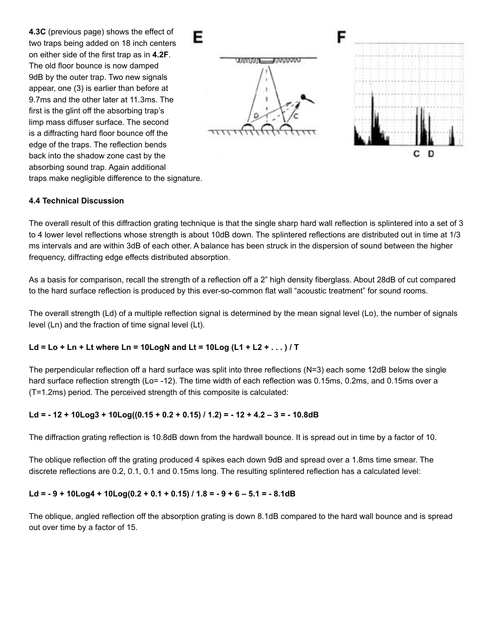**4.3C** (previous page) shows the effect of two traps being added on 18 inch centers on either side of the first trap as in **4.2F**. The old floor bounce is now damped 9dB by the outer trap. Two new signals appear, one (3) is earlier than before at 9.7ms and the other later at 11.3ms. The first is the glint off the absorbing trap's limp mass diffuser surface. The second is a diffracting hard floor bounce off the edge of the traps. The reflection bends back into the shadow zone cast by the absorbing sound trap. Again additional traps make negligible difference to the signature.



## **4.4 Technical Discussion**

The overall result of this diffraction grating technique is that the single sharp hard wall reflection is splintered into a set of 3 to 4 lower level reflections whose strength is about 10dB down. The splintered reflections are distributed out in time at 1/3 ms intervals and are within 3dB of each other. A balance has been struck in the dispersion of sound between the higher frequency, diffracting edge effects distributed absorption.

As a basis for comparison, recall the strength of a reflection off a 2" high density fiberglass. About 28dB of cut compared to the hard surface reflection is produced by this ever-so-common flat wall "acoustic treatment" for sound rooms.

The overall strength (Ld) of a multiple reflection signal is determined by the mean signal level (Lo), the number of signals level (Ln) and the fraction of time signal level (Lt).

### **Ld = Lo + Ln + Lt where Ln = 10LogN and Lt = 10Log (L1 + L2 + . . . ) / T**

The perpendicular reflection off a hard surface was split into three reflections (N=3) each some 12dB below the single hard surface reflection strength (Lo= -12). The time width of each reflection was 0.15ms, 0.2ms, and 0.15ms over a (T=1.2ms) period. The perceived strength of this composite is calculated:

### **Ld = - 12 + 10Log3 + 10Log((0.15 + 0.2 + 0.15) / 1.2) = - 12 + 4.2 – 3 = - 10.8dB**

The diffraction grating reflection is 10.8dB down from the hardwall bounce. It is spread out in time by a factor of 10.

The oblique reflection off the grating produced 4 spikes each down 9dB and spread over a 1.8ms time smear. The discrete reflections are 0.2, 0.1, 0.1 and 0.15ms long. The resulting splintered reflection has a calculated level:

### **Ld = - 9 + 10Log4 + 10Log(0.2 + 0.1 + 0.15) / 1.8 = - 9 + 6 – 5.1 = - 8.1dB**

The oblique, angled reflection off the absorption grating is down 8.1dB compared to the hard wall bounce and is spread out over time by a factor of 15.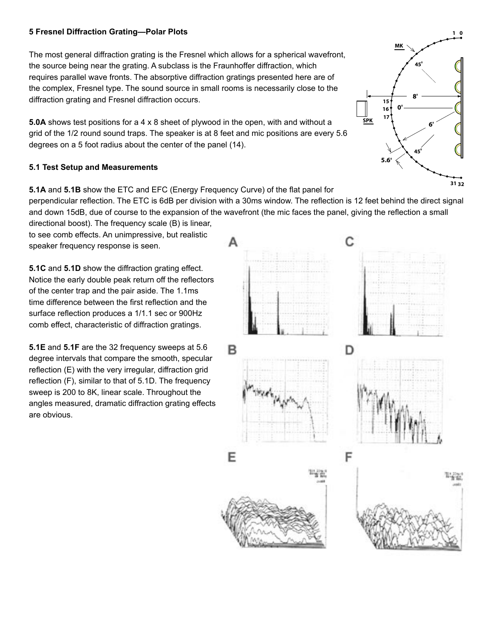# **5 Fresnel Diffraction Grating—Polar Plots**

The most general diffraction grating is the Fresnel which allows for a spherical wavefront, the source being near the grating. A subclass is the Fraunhoffer diffraction, which requires parallel wave fronts. The absorptive diffraction gratings presented here are of the complex, Fresnel type. The sound source in small rooms is necessarily close to the diffraction grating and Fresnel diffraction occurs.

**5.0A** shows test positions for a 4 x 8 sheet of plywood in the open, with and without a grid of the 1/2 round sound traps. The speaker is at 8 feet and mic positions are every 5.6 degrees on a 5 foot radius about the center of the panel (14).

## **5.1 Test Setup and Measurements**

**5.1A** and **5.1B** show the ETC and EFC (Energy Frequency Curve) of the flat panel for perpendicular reflection. The ETC is 6dB per division with a 30ms window. The reflection is 12 feet behind the direct signal and down 15dB, due of course to the expansion of the wavefront (the mic faces the panel, giving the reflection a small directional boost). The frequency scale (B) is linear,

to see comb effects. An unimpressive, but realistic speaker frequency response is seen.

**5.1C** and **5.1D** show the diffraction grating effect. Notice the early double peak return off the reflectors of the center trap and the pair aside. The 1.1ms time difference between the first reflection and the surface reflection produces a 1/1.1 sec or 900Hz comb effect, characteristic of diffraction gratings.

**5.1E** and **5.1F** are the 32 frequency sweeps at 5.6 degree intervals that compare the smooth, specular reflection (E) with the very irregular, diffraction grid reflection (F), similar to that of 5.1D. The frequency sweep is 200 to 8K, linear scale. Throughout the angles measured, dramatic diffraction grating effects are obvious.



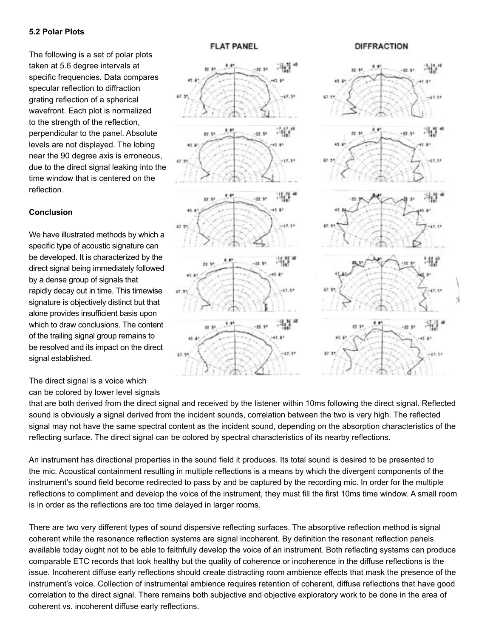### **5.2 Polar Plots**

The following is a set of polar plots taken at 5.6 degree intervals at specific frequencies. Data compares specular reflection to diffraction grating reflection of a spherical wavefront. Each plot is normalized to the strength of the reflection, perpendicular to the panel. Absolute levels are not displayed. The lobing near the 90 degree axis is erroneous, due to the direct signal leaking into the time window that is centered on the reflection.

# **Conclusion**

We have illustrated methods by which a specific type of acoustic signature can be developed. It is characterized by the direct signal being immediately followed by a dense group of signals that rapidly decay out in time. This timewise signature is objectively distinct but that alone provides insufficient basis upon which to draw conclusions. The content of the trailing signal group remains to be resolved and its impact on the direct signal established.

# The direct signal is a voice which can be colored by lower level signals



 $^{\circ}$ 

er sv

An instrument has directional properties in the sound field it produces. Its total sound is desired to be presented to the mic. Acoustical containment resulting in multiple reflections is a means by which the divergent components of the instrument's sound field become redirected to pass by and be captured by the recording mic. In order for the multiple reflections to compliment and develop the voice of the instrument, they must fill the first 10ms time window. A small room is in order as the reflections are too time delayed in larger rooms.

There are two very different types of sound dispersive reflecting surfaces. The absorptive reflection method is signal coherent while the resonance reflection systems are signal incoherent. By definition the resonant reflection panels available today ought not to be able to faithfully develop the voice of an instrument. Both reflecting systems can produce comparable ETC records that look healthy but the quality of coherence or incoherence in the diffuse reflections is the issue. Incoherent diffuse early reflections should create distracting room ambience effects that mask the presence of the instrument's voice. Collection of instrumental ambience requires retention of coherent, diffuse reflections that have good correlation to the direct signal. There remains both subjective and objective exploratory work to be done in the area of coherent vs. incoherent diffuse early reflections.

### **FLAT PANEL**

an a

et i

89.51

62.31

63.59

4t

67.95

 $(3, 3)$ 

42.91